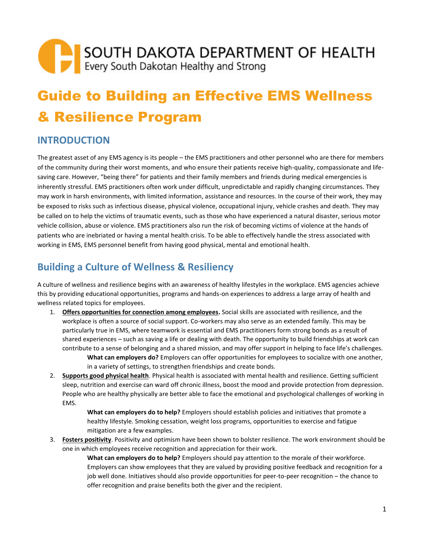# Guide to Building an Effective EMS Wellness & Resilience Program

# **INTRODUCTION**

The greatest asset of any EMS agency is its people – the EMS practitioners and other personnel who are there for members of the community during their worst moments, and who ensure their patients receive high-quality, compassionate and lifesaving care. However, "being there" for patients and their family members and friends during medical emergencies is inherently stressful. EMS practitioners often work under difficult, unpredictable and rapidly changing circumstances. They may work in harsh environments, with limited information, assistance and resources. In the course of their work, they may be exposed to risks such as infectious disease, physical violence, occupational injury, vehicle crashes and death. They may be called on to help the victims of traumatic events, such as those who have experienced a natural disaster, serious motor vehicle collision, abuse or violence. EMS practitioners also run the risk of becoming victims of violence at the hands of patients who are inebriated or having a mental health crisis. To be able to effectively handle the stress associated with working in EMS, EMS personnel benefit from having good physical, mental and emotional health.

# **Building a Culture of Wellness & Resiliency**

A culture of wellness and resilience begins with an awareness of healthy lifestyles in the workplace. EMS agencies achieve this by providing educational opportunities, programs and hands-on experiences to address a large array of health and wellness related topics for employees.

1. **Offers opportunities for connection among employees.** Social skills are associated with resilience, and the workplace is often a source of social support. Co-workers may also serve as an extended family. This may be particularly true in EMS, where teamwork is essential and EMS practitioners form strong bonds as a result of shared experiences – such as saving a life or dealing with death. The opportunity to build friendships at work can contribute to a sense of belonging and a shared mission, and may offer support in helping to face life's challenges.

**What can employers do?** Employers can offer opportunities for employees to socialize with one another, in a variety of settings, to strengthen friendships and create bonds.

2. **Supports good physical health**. Physical health is associated with mental health and resilience. Getting sufficient sleep, nutrition and exercise can ward off chronic illness, boost the mood and provide protection from depression. People who are healthy physically are better able to face the emotional and psychological challenges of working in EMS.

> **What can employers do to help?** Employers should establish policies and initiatives that promote a healthy lifestyle. Smoking cessation, weight loss programs, opportunities to exercise and fatigue mitigation are a few examples.

3. **Fosters positivity**. Positivity and optimism have been shown to bolster resilience. The work environment should be one in which employees receive recognition and appreciation for their work.

> **What can employers do to help?** Employers should pay attention to the morale of their workforce. Employers can show employees that they are valued by providing positive feedback and recognition for a job well done. Initiatives should also provide opportunities for peer-to-peer recognition – the chance to offer recognition and praise benefits both the giver and the recipient.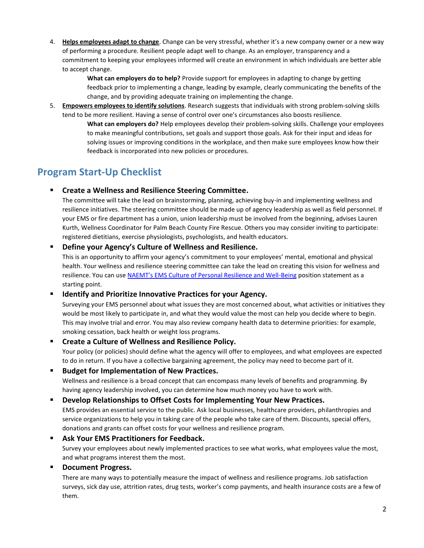4. **Helps employees adapt to change**. Change can be very stressful, whether it's a new company owner or a new way of performing a procedure. Resilient people adapt well to change. As an employer, transparency and a commitment to keeping your employees informed will create an environment in which individuals are better able to accept change.

> **What can employers do to help?** Provide support for employees in adapting to change by getting feedback prior to implementing a change, leading by example, clearly communicating the benefits of the change, and by providing adequate training on implementing the change.

5. **Empowers employees to identify solutions**. Research suggests that individuals with strong problem-solving skills tend to be more resilient. Having a sense of control over one's circumstances also boosts resilience.

**What can employers do?** Help employees develop their problem-solving skills. Challenge your employees to make meaningful contributions, set goals and support those goals. Ask for their input and ideas for solving issues or improving conditions in the workplace, and then make sure employees know how their feedback is incorporated into new policies or procedures.

# **Program Start-Up Checklist**

# ▪ **Create a Wellness and Resilience Steering Committee.**

The committee will take the lead on brainstorming, planning, achieving buy-in and implementing wellness and resilience initiatives. The steering committee should be made up of agency leadership as well as field personnel. If your EMS or fire department has a union, union leadership must be involved from the beginning, advises Lauren Kurth, Wellness Coordinator for Palm Beach County Fire Rescue. Others you may consider inviting to participate: registered dietitians, exercise physiologists, psychologists, and health educators.

# ▪ **Define your Agency's Culture of Wellness and Resilience.**

This is an opportunity to affirm your agency's commitment to your employees' mental, emotional and physical health. Your wellness and resilience steering committee can take the lead on creating this vision for wellness and resilience. You can use [NAEMT's EMS Culture of Personal Resilience and Well](http://www.naemt.org/docs/default-source/advocacy-documents/positions/ems-culture-of-personal-resilience-and-wellbeing-7-14-17.pdf?sfvrsn=f60cf92_4)-Being position statement as a starting point.

# ▪ **Identify and Prioritize Innovative Practices for your Agency.**

Surveying your EMS personnel about what issues they are most concerned about, what activities or initiatives they would be most likely to participate in, and what they would value the most can help you decide where to begin. This may involve trial and error. You may also review company health data to determine priorities: for example, smoking cessation, back health or weight loss programs.

# ▪ **Create a Culture of Wellness and Resilience Policy.**

Your policy (or policies) should define what the agency will offer to employees, and what employees are expected to do in return. If you have a collective bargaining agreement, the policy may need to become part of it.

### **Budget for Implementation of New Practices.**

Wellness and resilience is a broad concept that can encompass many levels of benefits and programming. By having agency leadership involved, you can determine how much money you have to work with.

### ▪ **Develop Relationships to Offset Costs for Implementing Your New Practices.**

EMS provides an essential service to the public. Ask local businesses, healthcare providers, philanthropies and service organizations to help you in taking care of the people who take care of them. Discounts, special offers, donations and grants can offset costs for your wellness and resilience program.

**Ask Your EMS Practitioners for Feedback.** Survey your employees about newly implemented practices to see what works, what employees value the most, and what programs interest them the most.

# **Document Progress.**

There are many ways to potentially measure the impact of wellness and resilience programs. Job satisfaction surveys, sick day use, attrition rates, drug tests, worker's comp payments, and health insurance costs are a few of them.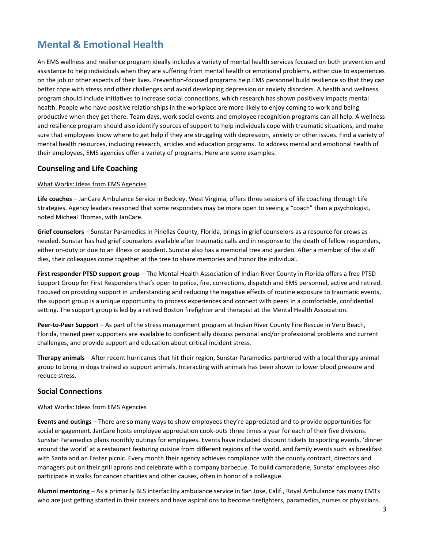# **Mental & Emotional Health**

An EMS wellness and resilience program ideally includes a variety of mental health services focused on both prevention and assistance to help individuals when they are suffering from mental health or emotional problems, either due to experiences on the job or other aspects of their lives. Prevention-focused programs help EMS personnel build resilience so that they can better cope with stress and other challenges and avoid developing depression or anxiety disorders. A health and wellness program should include initiatives to increase social connections, which research has shown positively impacts mental health. People who have positive relationships in the workplace are more likely to enjoy coming to work and being productive when they get there. Team days, work social events and employee recognition programs can all help. A wellness and resilience program should also identify sources of support to help individuals cope with traumatic situations, and make sure that employees know where to get help if they are struggling with depression, anxiety or other issues. Find a variety of mental health resources, including research, articles and education programs. To address mental and emotional health of their employees, EMS agencies offer a variety of programs. Here are some examples.

### **Counseling and Life Coaching**

#### What Works: Ideas from EMS Agencies

**Life coaches** – JanCare Ambulance Service in Beckley, West Virginia, offers three sessions of life coaching through Life Strategies. Agency leaders reasoned that some responders may be more open to seeing a "coach" than a psychologist, noted Micheal Thomas, with JanCare.

**Grief counselors** – Sunstar Paramedics in Pinellas County, Florida, brings in grief counselors as a resource for crews as needed. Sunstar has had grief counselors available after traumatic calls and in response to the death of fellow responders, either on-duty or due to an illness or accident. Sunstar also has a memorial tree and garden. After a member of the staff dies, their colleagues come together at the tree to share memories and honor the individual.

**First responder PTSD support group** – The Mental Health Association of Indian River County in Florida offers a free PTSD Support Group for First Responders that's open to police, fire, corrections, dispatch and EMS personnel, active and retired. Focused on providing support in understanding and reducing the negative effects of routine exposure to traumatic events, the support group is a unique opportunity to process experiences and connect with peers in a comfortable, confidential setting. The support group is led by a retired Boston firefighter and therapist at the Mental Health Association.

**Peer-to-Peer Support** – As part of the stress management program at Indian River County Fire Rescue in Vero Beach, Florida, trained peer supporters are available to confidentially discuss personal and/or professional problems and current challenges, and provide support and education about critical incident stress.

**Therapy animals** – After recent hurricanes that hit their region, Sunstar Paramedics partnered with a local therapy animal group to bring in dogs trained as support animals. Interacting with animals has been shown to lower blood pressure and reduce stress.

### **Social Connections**

#### What Works: Ideas from EMS Agencies

**Events and outings** – There are so many ways to show employees they're appreciated and to provide opportunities for social engagement. JanCare hosts employee appreciation cook-outs three times a year for each of their five divisions. Sunstar Paramedics plans monthly outings for employees. Events have included discount tickets to sporting events, 'dinner around the world' at a restaurant featuring cuisine from different regions of the world, and family events such as breakfast with Santa and an Easter picnic. Every month their agency achieves compliance with the county contract, directors and managers put on their grill aprons and celebrate with a company barbecue. To build camaraderie, Sunstar employees also participate in walks for cancer charities and other causes, often in honor of a colleague.

**Alumni mentoring** – As a primarily BLS interfacility ambulance service in San Jose, Calif., Royal Ambulance has many EMTs who are just getting started in their careers and have aspirations to become firefighters, paramedics, nurses or physicians.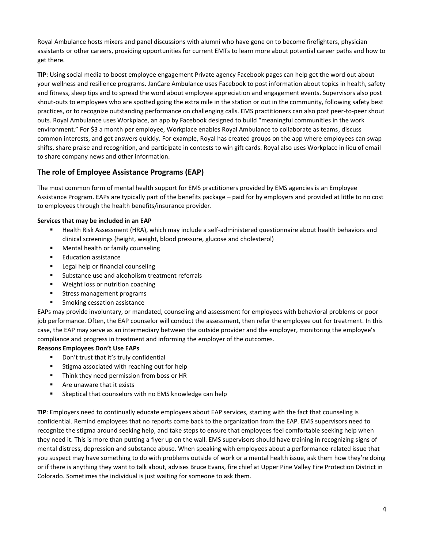Royal Ambulance hosts mixers and panel discussions with alumni who have gone on to become firefighters, physician assistants or other careers, providing opportunities for current EMTs to learn more about potential career paths and how to get there.

**TIP**: Using social media to boost employee engagement Private agency Facebook pages can help get the word out about your wellness and resilience programs. JanCare Ambulance uses Facebook to post information about topics in health, safety and fitness, sleep tips and to spread the word about employee appreciation and engagement events. Supervisors also post shout-outs to employees who are spotted going the extra mile in the station or out in the community, following safety best practices, or to recognize outstanding performance on challenging calls. EMS practitioners can also post peer-to-peer shout outs. Royal Ambulance uses Workplace, an app by Facebook designed to build "meaningful communities in the work environment." For \$3 a month per employee, Workplace enables Royal Ambulance to collaborate as teams, discuss common interests, and get answers quickly. For example, Royal has created groups on the app where employees can swap shifts, share praise and recognition, and participate in contests to win gift cards. Royal also uses Workplace in lieu of email to share company news and other information.

# **The role of Employee Assistance Programs (EAP)**

The most common form of mental health support for EMS practitioners provided by EMS agencies is an Employee Assistance Program. EAPs are typically part of the benefits package – paid for by employers and provided at little to no cost to employees through the health benefits/insurance provider.

#### **Services that may be included in an EAP**

- Health Risk Assessment (HRA), which may include a self-administered questionnaire about health behaviors and clinical screenings (height, weight, blood pressure, glucose and cholesterol)
- Mental health or family counseling
- Education assistance
- Legal help or financial counseling
- Substance use and alcoholism treatment referrals
- Weight loss or nutrition coaching
- **EXEC** Stress management programs
- Smoking cessation assistance

EAPs may provide involuntary, or mandated, counseling and assessment for employees with behavioral problems or poor job performance. Often, the EAP counselor will conduct the assessment, then refer the employee out for treatment. In this case, the EAP may serve as an intermediary between the outside provider and the employer, monitoring the employee's compliance and progress in treatment and informing the employer of the outcomes.

#### **Reasons Employees Don't Use EAPs**

- Don't trust that it's truly confidential
- Stigma associated with reaching out for help
- Think they need permission from boss or HR
- Are unaware that it exists
- Skeptical that counselors with no EMS knowledge can help

**TIP**: Employers need to continually educate employees about EAP services, starting with the fact that counseling is confidential. Remind employees that no reports come back to the organization from the EAP. EMS supervisors need to recognize the stigma around seeking help, and take steps to ensure that employees feel comfortable seeking help when they need it. This is more than putting a flyer up on the wall. EMS supervisors should have training in recognizing signs of mental distress, depression and substance abuse. When speaking with employees about a performance-related issue that you suspect may have something to do with problems outside of work or a mental health issue, ask them how they're doing or if there is anything they want to talk about, advises Bruce Evans, fire chief at Upper Pine Valley Fire Protection District in Colorado. Sometimes the individual is just waiting for someone to ask them.